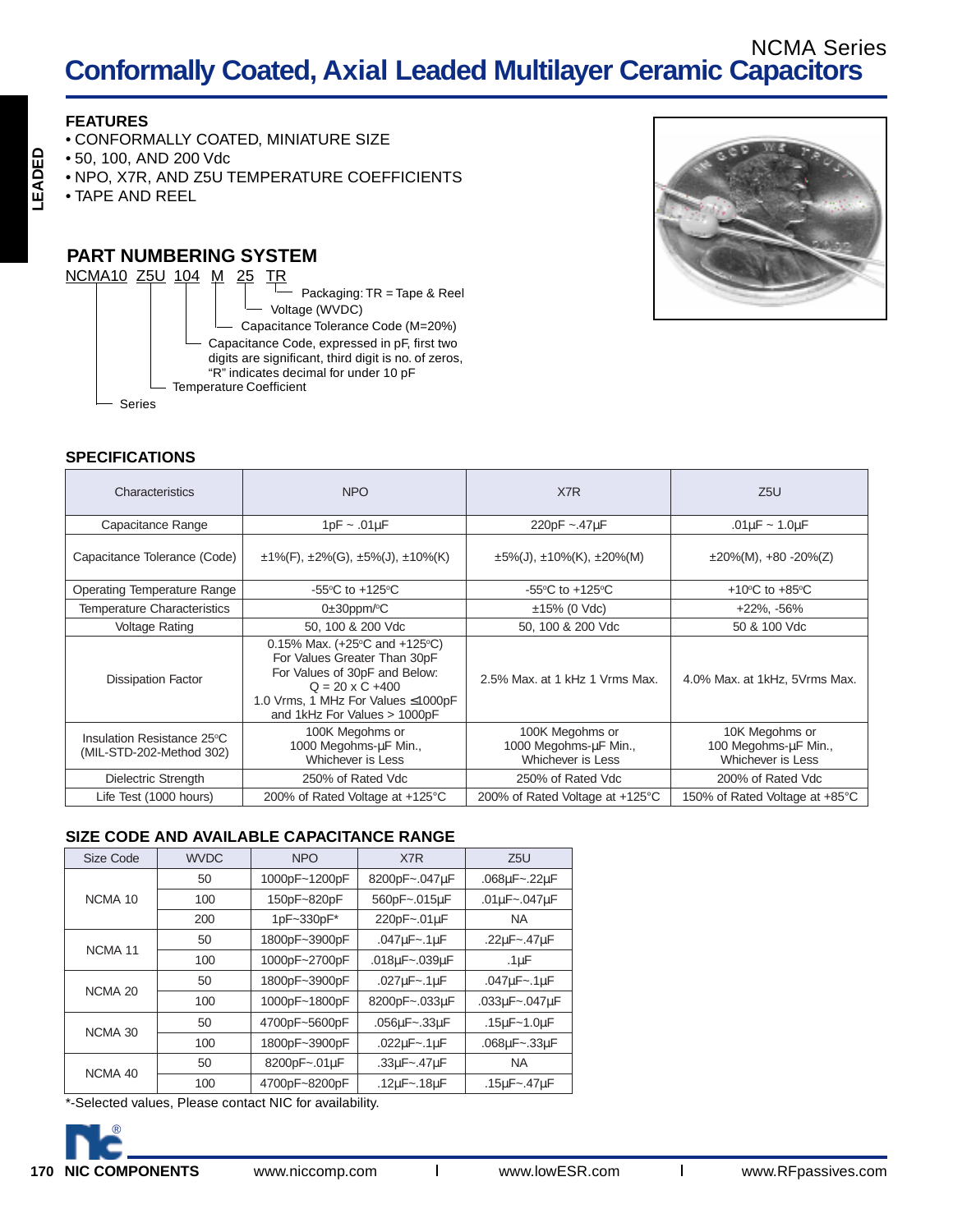## **Conformally Coated, Axial Leaded Multilayer Ceramic Capacitors** NCMA Series

### **FEATURES**

**LEADED**

LEADED

- CONFORMALLY COATED, MINIATURE SIZE
- 50, 100, AND 200 Vdc
- NPO, X7R, AND Z5U TEMPERATURE COEFFICIENTS
- TAPE AND REEL

## **PART NUMBERING SYSTEM**





| Characteristics                                        | NPO                                                                                                                                                                                                                      | X7R                                                           | Z5U                                                         |
|--------------------------------------------------------|--------------------------------------------------------------------------------------------------------------------------------------------------------------------------------------------------------------------------|---------------------------------------------------------------|-------------------------------------------------------------|
| Capacitance Range                                      | $1pF \sim .01\mu F$<br>220pF ~.47µF                                                                                                                                                                                      |                                                               | .01 $\mu$ F ~ 1.0 $\mu$ F                                   |
| Capacitance Tolerance (Code)                           | $\pm$ 1%(F), $\pm$ 2%(G), $\pm$ 5%(J), $\pm$ 10%(K)                                                                                                                                                                      | $\pm 5\%$ (J), $\pm 10\%$ (K), $\pm 20\%$ (M)                 | $\pm 20\%$ (M), $+80 - 20\%$ (Z)                            |
| <b>Operating Temperature Range</b>                     | -55 $\degree$ C to +125 $\degree$ C<br>-55 $\mathrm{^{\circ}C}$ to +125 $\mathrm{^{\circ}C}$                                                                                                                             |                                                               | +10 $\degree$ C to +85 $\degree$ C                          |
| <b>Temperature Characteristics</b>                     | $0\pm 30$ ppm/ $\degree$ C<br>$±15\%$ (0 Vdc)                                                                                                                                                                            |                                                               | $+22\%$ , $-56\%$                                           |
| <b>Voltage Rating</b>                                  | 50, 100 & 200 Vdc<br>50, 100 & 200 Vdc                                                                                                                                                                                   |                                                               | 50 & 100 Vdc                                                |
| <b>Dissipation Factor</b>                              | 0.15% Max. $(+25^{\circ}C \text{ and } +125^{\circ}C)$<br>For Values Greater Than 30pF<br>For Values of 30pF and Below:<br>$Q = 20 \times C + 400$<br>1.0 Vrms, 1 MHz For Values ≤1000pF<br>and 1kHz For Values > 1000pF | 2.5% Max, at 1 kHz 1 Vrms Max.                                | 4.0% Max. at 1kHz, 5Vrms Max.                               |
| Insulation Resistance 25°C<br>(MIL-STD-202-Method 302) | 100K Megohms or<br>1000 Megohms-uF Min.,<br>Whichever is Less                                                                                                                                                            | 100K Megohms or<br>1000 Megohms-µF Min.,<br>Whichever is Less | 10K Megohms or<br>100 Megohms-uF Min.,<br>Whichever is Less |
| Dielectric Strength                                    | 250% of Rated Vdc                                                                                                                                                                                                        | 250% of Rated Vdc                                             | 200% of Rated Vdc                                           |
| Life Test (1000 hours)                                 | 200% of Rated Voltage at +125°C                                                                                                                                                                                          | 200% of Rated Voltage at +125°C                               | 150% of Rated Voltage at +85°C                              |

#### **SIZE CODE AND AVAILABLE CAPACITANCE RANGE**

| Size Code          | <b>WVDC</b> | <b>NPO</b>    | X7R                     | Z5U                     |
|--------------------|-------------|---------------|-------------------------|-------------------------|
| NCMA <sub>10</sub> | 50          | 1000pF~1200pF | 8200pF~.047µF           | .068uF~.22uF            |
|                    | 100         | 150pF~820pF   | 560pF~.015uF            | .01uF~.047uF            |
|                    | 200         | 1pF~330pF*    | 220pF~.01uF             | <b>NA</b>               |
| NCMA <sub>11</sub> | 50          | 1800pF~3900pF | .047 $\mu$ F~.1 $\mu$ F | .22uF~.47uF             |
|                    | 100         | 1000pF~2700pF | .018uF~.039uF           | .1 <sub>µ</sub> F       |
| NCMA <sub>20</sub> | 50          | 1800pF~3900pF | .027 $\mu$ F~.1 $\mu$ F | .047 $\mu$ F~.1 $\mu$ F |
|                    | 100         | 1000pF~1800pF | 8200pF~.033µF           | .033uF~.047uF           |
| NCMA 30            | 50          | 4700pF~5600pF | .056uF~.33uF            | .15uF~1.0uF             |
|                    | 100         | 1800pF~3900pF | $.022\mu$ F~.1 $\mu$ F  | .068uF~.33uF            |
| NCMA 40            | 50          | 8200pF~.01uF  | .33uF~.47uF             | <b>NA</b>               |
|                    | 100         | 4700pF~8200pF | .12uF~.18uF             | .15uF~.47uF             |

\*-Selected values, Please contact NIC for availability.